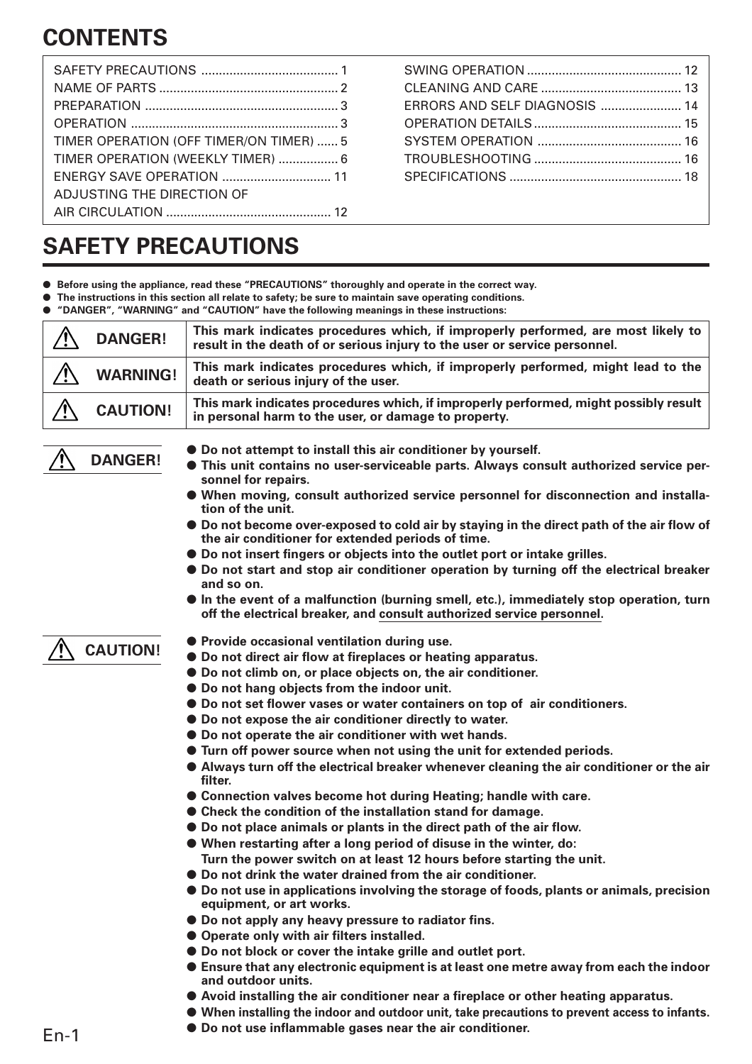# **CONTENTS**

| TIMER OPERATION (OFF TIMER/ON TIMER)  5 |  |
|-----------------------------------------|--|
| TIMER OPERATION (WEEKLY TIMER)  6       |  |
|                                         |  |
| ADJUSTING THE DIRECTION OF              |  |
|                                         |  |

SWING OPERATION ............................................ 12 CLEANING AND CARE ........................................ 13 ERRORS AND SELF DIAGNOSIS ....................... 14 OPERATION DETAILS .......................................... 15 SYSTEM OPERATION ......................................... 16 TROUBLESHOOTING .......................................... 16 SPECIFICATIONS ................................................. 18

# **SAFETY PRECAUTIONS**

- **Before using the appliance, read these "PRECAUTIONS" thoroughly and operate in the correct way.**
- The instructions in this section all relate to safety; be sure to maintain save operating conditions.
- **"DANGER", "WARNING" and "CAUTION" have the following meanings in these instructions:**

| <b>DANGER!</b>  | This mark indicates procedures which, if improperly performed, are most likely to<br>result in the death of or serious injury to the user or service personnel. |
|-----------------|-----------------------------------------------------------------------------------------------------------------------------------------------------------------|
| <b>WARNING!</b> | This mark indicates procedures which, if improperly performed, might lead to the<br>death or serious injury of the user.                                        |
| <b>CAUTION!</b> | This mark indicates procedures which, if improperly performed, might possibly result<br>in personal harm to the user, or damage to property.                    |



- **Do not attempt to install this air conditioner by yourself.**
- **This unit contains no user-serviceable parts. Always consult authorized service personnel for repairs.**
- **When moving, consult authorized service personnel for disconnection and installation of the unit.**
- **Do not become over-exposed to cold air by staying in the direct path of the air flow of the air conditioner for extended periods of time.**
- **Do not insert fingers or objects into the outlet port or intake grilles.**
- **Do not start and stop air conditioner operation by turning off the electrical breaker and so on.**
- **In the event of a malfunction (burning smell, etc.), immediately stop operation, turn off the electrical breaker, and consult authorized service personnel.**

# **CAUTION!**

- Provide occasional ventilation during use.
- **Do not direct air flow at fireplaces or heating apparatus.**
- **Do not climb on, or place objects on, the air conditioner.**
- **Do not hang objects from the indoor unit.**
- **Do not set flower vases or water containers on top of air conditioners.**
- **Do not expose the air conditioner directly to water.**
- **Do not operate the air conditioner with wet hands.**
- **Turn off power source when not using the unit for extended periods.**
- **Always turn off the electrical breaker whenever cleaning the air conditioner or the air filter.**
- **Connection valves become hot during Heating; handle with care.**
- **Check the condition of the installation stand for damage.**
- **Do not place animals or plants in the direct path of the air flow.**
- **When restarting after a long period of disuse in the winter, do: Turn the power switch on at least 12 hours before starting the unit.**
- **Do not drink the water drained from the air conditioner.**
- **Do not use in applications involving the storage of foods, plants or animals, precision equipment, or art works.**
- **Do not apply any heavy pressure to radiator fins.**
- **Operate only with air filters installed.**
- **Do not block or cover the intake grille and outlet port.**
- **Ensure that any electronic equipment is at least one metre away from each the indoor and outdoor units.**
- **Avoid installing the air conditioner near a fireplace or other heating apparatus.**
- **When installing the indoor and outdoor unit, take precautions to prevent access to infants.**
- **Do not use inflammable gases near the air conditioner.**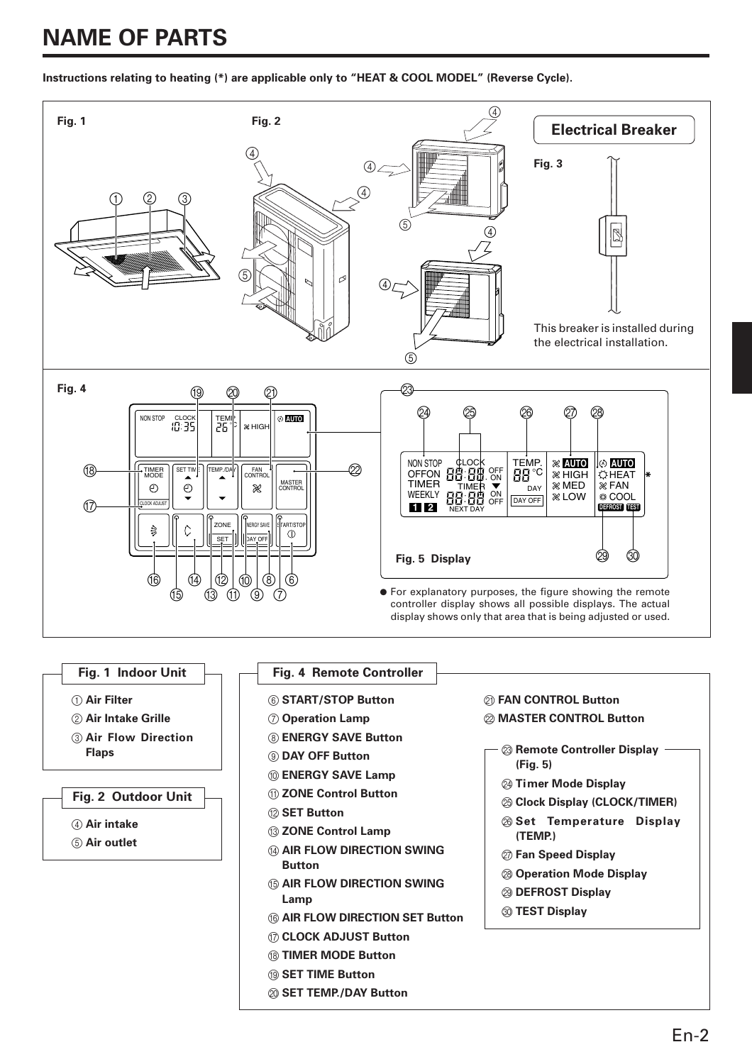# **NAME OF PARTS**

**Instructions relating to heating (\*) are applicable only to "HEAT & COOL MODEL" (Reverse Cycle).**



#### **Fig. 1 Indoor Unit**

- 1 **Air Filter**
- 2 **Air Intake Grille**
- 3 **Air Flow Direction Flaps**

### **Fig. 2 Outdoor Unit**

- 4 **Air intake**
- 5 **Air outlet**

#### **Fig. 4 Remote Controller**

- 6 **START/STOP Button**
- 7 **Operation Lamp**
- 8 **ENERGY SAVE Button**
- 9 **DAY OFF Button**
- 0 **ENERGY SAVE Lamp**
- A **ZONE Control Button**
- B **SET Button**
- **13 ZONE Control Lamp**
- **(4) AIR FLOW DIRECTION SWING Button**
- **66 AIR FLOW DIRECTION SWING Lamp**
- **66 AIR FLOW DIRECTION SET Button**
- G **CLOCK ADJUST Button**
- **(8) TIMER MODE Button**
- **19 SET TIME Button**
- $@$  **SET TEMP./DAY Button**

# K **FAN CONTROL Button**

- $@>$  **MASTER CONTROL Button**
- **23 Remote Controller Display (Fig. 5)**
	- **24 Timer Mode Display**
	- $\circledR$  Clock Display (CLOCK/TIMER)
	- P **Set Temperature Display (TEMP.)**
	- Q **Fan Speed Display**
	- R **Operation Mode Display**
	- S **DEFROST Display**
	- **@ TEST Display**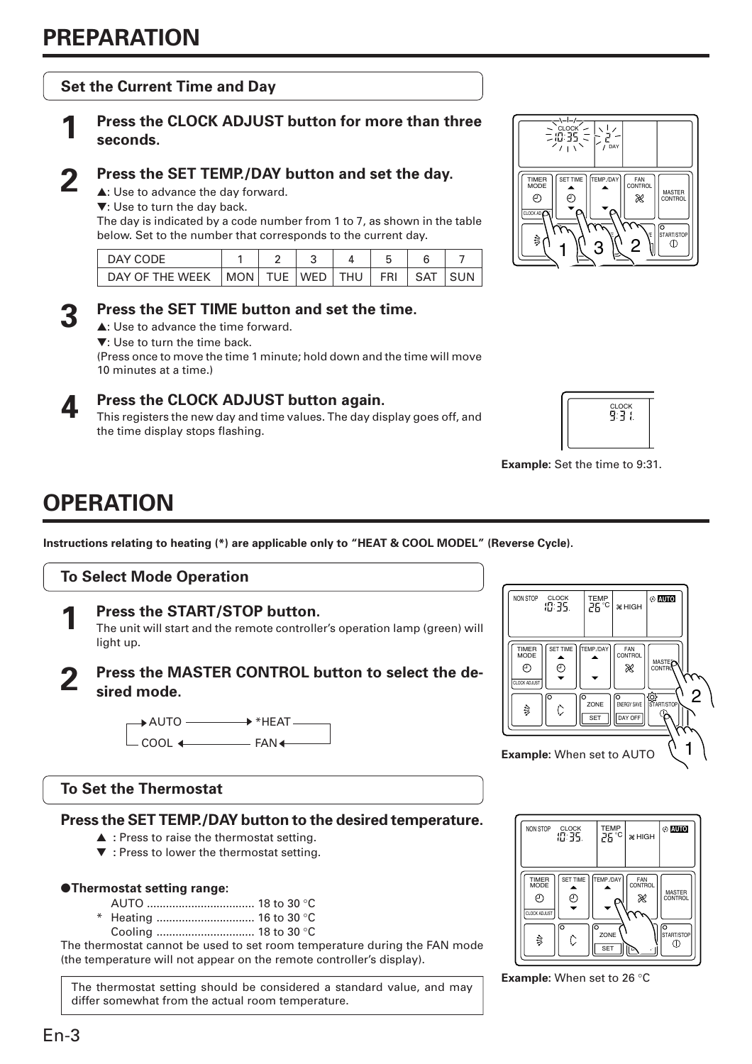# **Set the Current Time and Day**

# **1 Press the CLOCK ADJUST button for more than three seconds.**

# **2 Press the SET TEMP./DAY button and set the day.**

▲: Use to advance the day forward.

▼: Use to turn the day back.

The day is indicated by a code number from 1 to 7, as shown in the table below. Set to the number that corresponds to the current day.

| DAY CODE                                      |  |  |                              |  |
|-----------------------------------------------|--|--|------------------------------|--|
| DAY OF THE WEEK   MON   TUE   WED   THU   FRI |  |  | $\overline{\phantom{a}}$ SAT |  |



# **3 Press the SET TIME button and set the time.**

▲: Use to advance the time forward.

▼: Use to turn the time back.

(Press once to move the time 1 minute; hold down and the time will move 10 minutes at a time.)



# **4 Press the CLOCK ADJUST button again.**

This registers the new day and time values. The day display goes off, and the time display stops flashing.



s.

 $1 \cancel{2}$  3  $\cancel{2}$ 

 $\sim$ ENERGY SAVE

≫

SET TIME TEMP./DAY CONTROL

)<br>tart/stoi<br>①

MASTER CONTROL

DAY



**Example:** Set the time to 9:31.

CLOCK

 $\odot$ 

TIMER MODE

 $\odot$ 

CLOCK AD **UN** 

# **OPERATION**

**Instructions relating to heating (\*) are applicable only to "HEAT & COOL MODEL" (Reverse Cycle).**





The unit will start and the remote controller's operation lamp (green) will light up.

# **2 Press the MASTER CONTROL button to select the desired mode.**



# **To Set the Thermostat**

# **Press the SET TEMP./DAY button to the desired temperature.**

- ▲ **:** Press to raise the thermostat setting.
- ▼ **:** Press to lower the thermostat setting.

### ●**Thermostat setting range:**

- AUTO .................................. 18 to 30 °C
- \* Heating ............................... 16 to 30 °C
	- Cooling ............................... 18 to 30 °C

The thermostat cannot be used to set room temperature during the FAN mode (the temperature will not appear on the remote controller's display).

The thermostat setting should be considered a standard value, and may differ somewhat from the actual room temperature.





**Example:** When set to 26 °C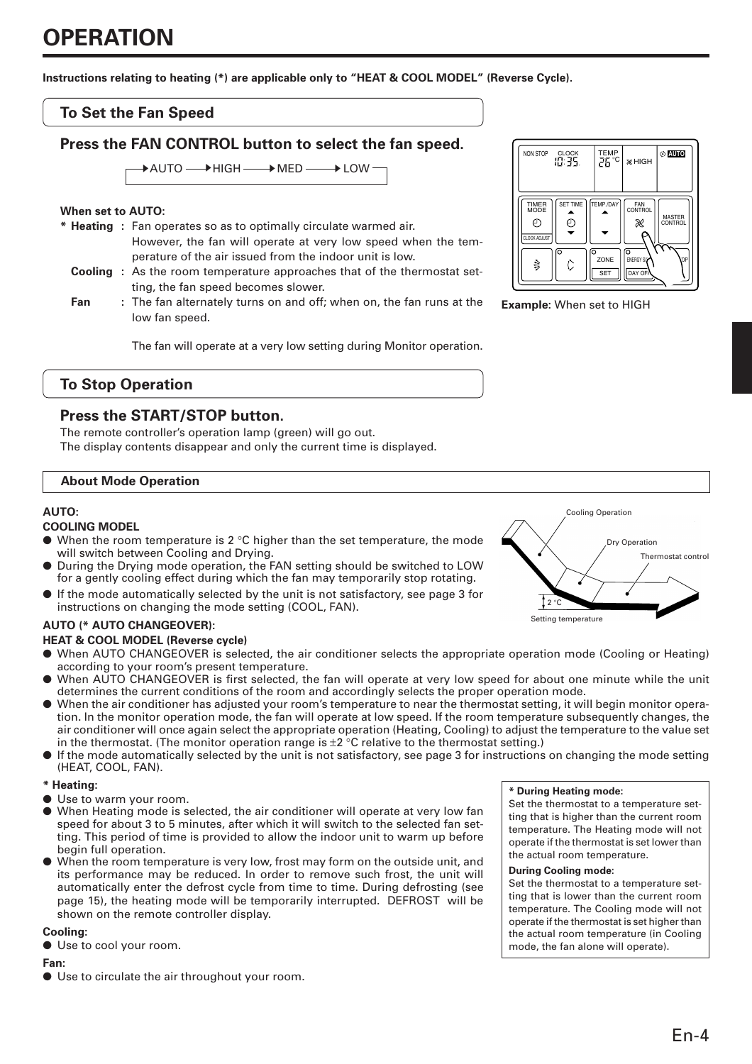# **OPERATION**

**Instructions relating to heating (\*) are applicable only to "HEAT & COOL MODEL" (Reverse Cycle).**

### **To Set the Fan Speed**

## **Press the FAN CONTROL button to select the fan speed.**

 $\overline{\star}$ AUTO  $\longrightarrow$  HIGH  $\longrightarrow$  MED  $\longrightarrow$  LOW

#### **When set to AUTO:**

- **\* Heating :** Fan operates so as to optimally circulate warmed air. However, the fan will operate at very low speed when the temperature of the air issued from the indoor unit is low.
	- **Cooling :** As the room temperature approaches that of the thermostat setting, the fan speed becomes slower.
	- **Fan** : The fan alternately turns on and off; when on, the fan runs at the low fan speed.

The fan will operate at a very low setting during Monitor operation.



### **Press the START/STOP button.**

The remote controller's operation lamp (green) will go out. The display contents disappear and only the current time is displayed.

#### **About Mode Operation**

#### **AUTO:**

#### **COOLING MODEL**

- $\bullet$  When the room temperature is 2 °C higher than the set temperature, the mode will switch between Cooling and Drying.
- During the Drying mode operation, the FAN setting should be switched to LOW for a gently cooling effect during which the fan may temporarily stop rotating.
- If the mode automatically selected by the unit is not satisfactory, see page 3 for instructions on changing the mode setting (COOL, FAN).

### **AUTO (\* AUTO CHANGEOVER):**

**HEAT & COOL MODEL (Reverse cycle)**

- When AUTO CHANGEOVER is selected, the air conditioner selects the appropriate operation mode (Cooling or Heating) according to your room's present temperature.
- When AUTO CHANGEOVER is first selected, the fan will operate at very low speed for about one minute while the unit determines the current conditions of the room and accordingly selects the proper operation mode.
- When the air conditioner has adjusted your room's temperature to near the thermostat setting, it will begin monitor operation. In the monitor operation mode, the fan will operate at low speed. If the room temperature subsequently changes, the air conditioner will once again select the appropriate operation (Heating, Cooling) to adjust the temperature to the value set in the thermostat. (The monitor operation range is  $\pm 2$  °C relative to the thermostat setting.)
- If the mode automatically selected by the unit is not satisfactory, see page 3 for instructions on changing the mode setting (HEAT, COOL, FAN).

#### **\* Heating:**

- Use to warm your room.
- When Heating mode is selected, the air conditioner will operate at very low fan speed for about 3 to 5 minutes, after which it will switch to the selected fan setting. This period of time is provided to allow the indoor unit to warm up before begin full operation.
- When the room temperature is very low, frost may form on the outside unit, and its performance may be reduced. In order to remove such frost, the unit will automatically enter the defrost cycle from time to time. During defrosting (see page 15), the heating mode will be temporarily interrupted. DEFROST will be shown on the remote controller display.

#### **Cooling:**

● Use to cool your room.

### **Fan:**

● Use to circulate the air throughout your room.



**Example:** When set to HIGH



#### **\* During Heating mode:**

Set the thermostat to a temperature setting that is higher than the current room temperature. The Heating mode will not operate if the thermostat is set lower than the actual room temperature.

#### **During Cooling mode:**

Set the thermostat to a temperature setting that is lower than the current room temperature. The Cooling mode will not operate if the thermostat is set higher than the actual room temperature (in Cooling mode, the fan alone will operate).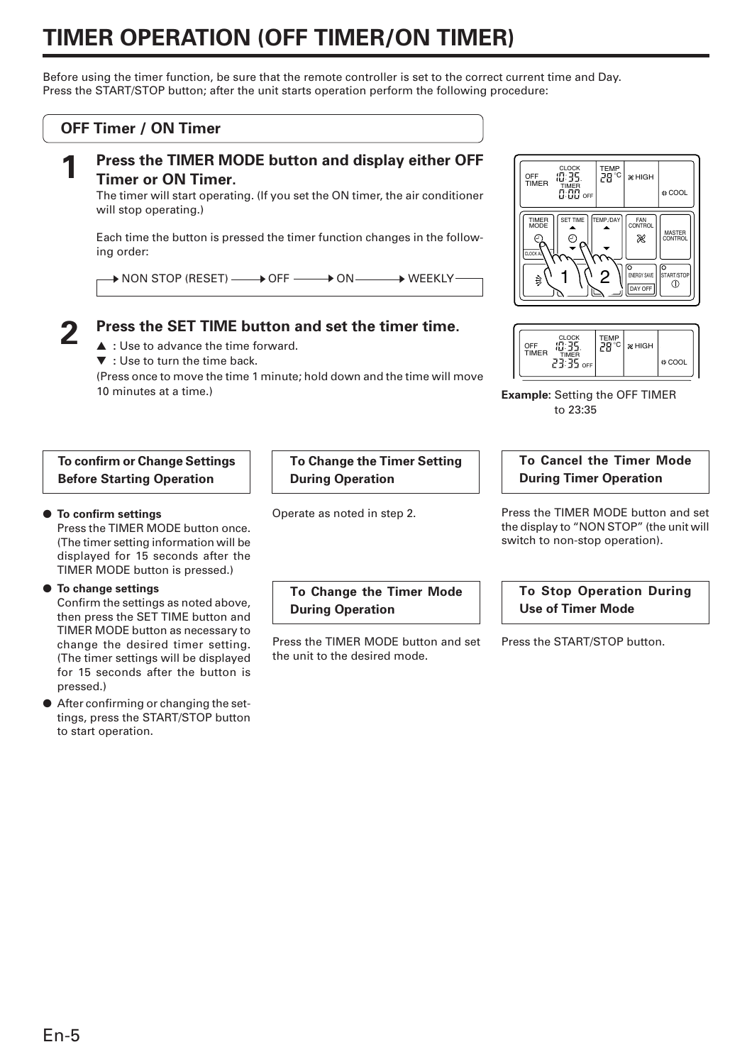# **TIMER OPERATION (OFF TIMER/ON TIMER)**

Before using the timer function, be sure that the remote controller is set to the correct current time and Day. Press the START/STOP button; after the unit starts operation perform the following procedure:

### **OFF Timer / ON Timer**



# **1 Press the TIMER MODE button and display either OFF Timer or ON Timer.**

The timer will start operating. (If you set the ON timer, the air conditioner will stop operating.)

Each time the button is pressed the timer function changes in the following order:

 $\,\blacktriangleright$  NON STOP (RESET)  $\longrightarrow$  OFF  $\longrightarrow$  ON  $\longrightarrow$  WEEKLY  $\blacktriangleright$  Weekly

# **2 Press the SET TIME button and set the timer time.**

▲ **:** Use to advance the time forward.

▼ **:** Use to turn the time back.

(Press once to move the time 1 minute; hold down and the time will move 10 minutes at a time.)

### **To confirm or Change Settings Before Starting Operation**

### ● **To confirm settings**

Press the TIMER MODE button once. (The timer setting information will be displayed for 15 seconds after the TIMER MODE button is pressed.)

### ● **To change settings**

Confirm the settings as noted above, then press the SET TIME button and TIMER MODE button as necessary to change the desired timer setting. (The timer settings will be displayed for 15 seconds after the button is pressed.)

● After confirming or changing the settings, press the START/STOP button to start operation.

**To Change the Timer Setting During Operation**

Operate as noted in step 2.

**To Change the Timer Mode During Operation**

Press the TIMER MODE button and set the unit to the desired mode.





**Example:** Setting the OFF TIMER to 23:35

### **To Cancel the Timer Mode During Timer Operation**

Press the TIMER MODE button and set the display to "NON STOP" (the unit will switch to non-stop operation).

```
To Stop Operation During
Use of Timer Mode
```
Press the START/STOP button.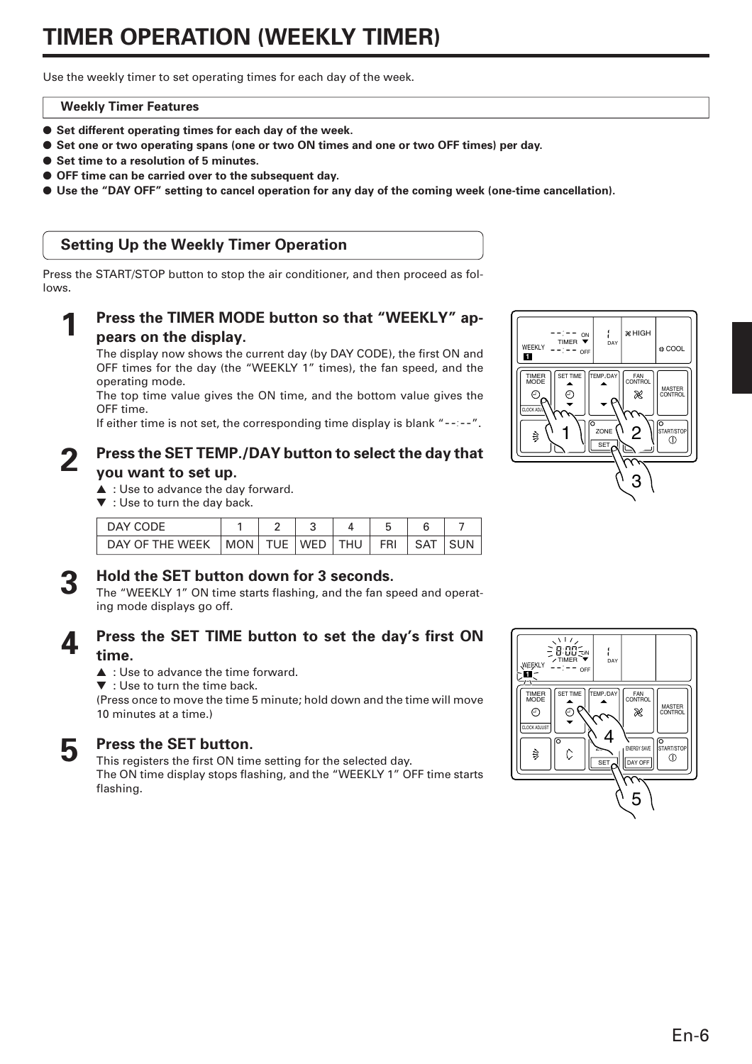# **TIMER OPERATION (WEEKLY TIMER)**

Use the weekly timer to set operating times for each day of the week.

### **Weekly Timer Features**

- **Set different operating times for each day of the week.**
- Set one or two operating spans (one or two ON times and one or two OFF times) per day.
- Set time to a resolution of 5 minutes.
- **OFF time can be carried over to the subsequent day.**
- **Use the "DAY OFF" setting to cancel operation for any day of the coming week (one-time cancellation).**

# **Setting Up the Weekly Timer Operation**

Press the START/STOP button to stop the air conditioner, and then proceed as follows.

## Press the TIMER MODE button so that "WEEKLY" ap**pears on the display.**

The display now shows the current day (by DAY CODE), the first ON and OFF times for the day (the "WEEKLY 1" times), the fan speed, and the operating mode.

The top time value gives the ON time, and the bottom value gives the OFF time.

If either time is not set, the corresponding time display is blank " $-$  ".

## **2 Press the SET TEMP./DAY button to select the day that you want to set up.**

- ▲ : Use to advance the day forward.
- ▼ : Use to turn the day back.

| DAY CODE                                      |  |  |        |  |
|-----------------------------------------------|--|--|--------|--|
| DAY OF THE WEEK   MON   TUE   WED   THU   FRI |  |  | ,SAT I |  |

**3 Hold the SET button down for 3 seconds.**<br>
The "WEEKLY 1" ON time starts flashing, and the fan speed and operating mode displays go off.

# **4 Press the SET TIME button to set the day's first ON time.**

- ▲ : Use to advance the time forward.
- ▼ : Use to turn the time back.

(Press once to move the time 5 minute; hold down and the time will move 10 minutes at a time.)



**5 Press the SET button.**<br>This registers the first ON time setting for the selected day. The ON time display stops flashing, and the "WEEKLY 1" OFF time starts flashing.



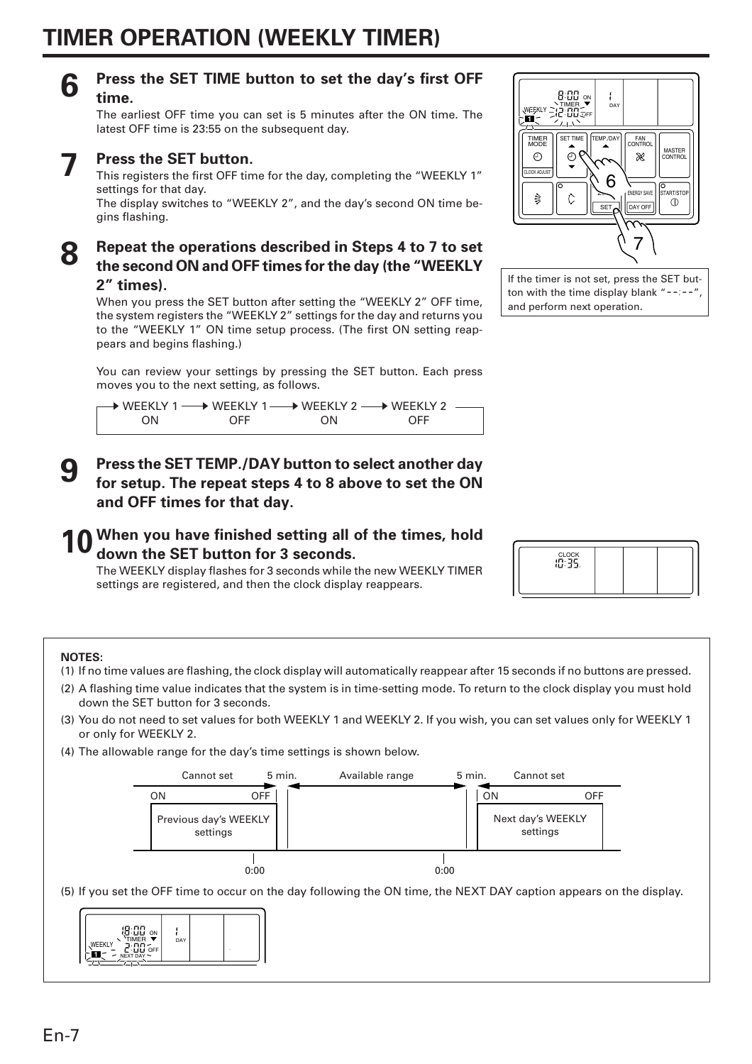# **6 Press the SET TIME button to set the day's first OFF time.**

The earliest OFF time you can set is 5 minutes after the ON time. The latest OFF time is 23:55 on the subsequent day.

# **7 Press the SET button.**

This registers the first OFF time for the day, completing the "WEEKLY 1" settings for that day.

The display switches to "WEEKLY 2", and the day's second ON time begins flashing.

# **8 Repeat the operations described in Steps 4 to 7 to set the second ON and OFF times for the day (the "WEEKLY 2" times).**

When you press the SET button after setting the "WEEKLY 2" OFF time, the system registers the "WEEKLY 2" settings for the day and returns you to the "WEEKLY 1" ON time setup process. (The first ON setting reappears and begins flashing.)

You can review your settings by pressing the SET button. Each press moves you to the next setting, as follows.

|     | → WEEKLY 1 → WEEKLY 1 → WEEKLY 2 → WEEKLY 2 → WEEKLY 2 → |     |     |  |
|-----|----------------------------------------------------------|-----|-----|--|
| ON. | <b>OFF</b>                                               | ON. | OFF |  |

**9 Press the SET TEMP./DAY button to select another day for setup. The repeat steps 4 to 8 above to set the ON and OFF times for that day.**

# **10 When you have finished setting all of the times, hold down the SET button for 3 seconds.**

The WEEKLY display flashes for 3 seconds while the new WEEKLY TIMER settings are registered, and then the clock display reappears.



If the timer is not set, press the SET button with the time display blank "--:--", and perform next operation.



### **NOTES:**

- (1) If no time values are flashing, the clock display will automatically reappear after 15 seconds if no buttons are pressed.
- (2) A flashing time value indicates that the system is in time-setting mode. To return to the clock display you must hold down the SET button for 3 seconds.
- (3) You do not need to set values for both WEEKLY 1 and WEEKLY 2. If you wish, you can set values only for WEEKLY 1 or only for WEEKLY 2.
- (4) The allowable range for the day's time settings is shown below.



(5) If you set the OFF time to occur on the day following the ON time, the NEXT DAY caption appears on the display.

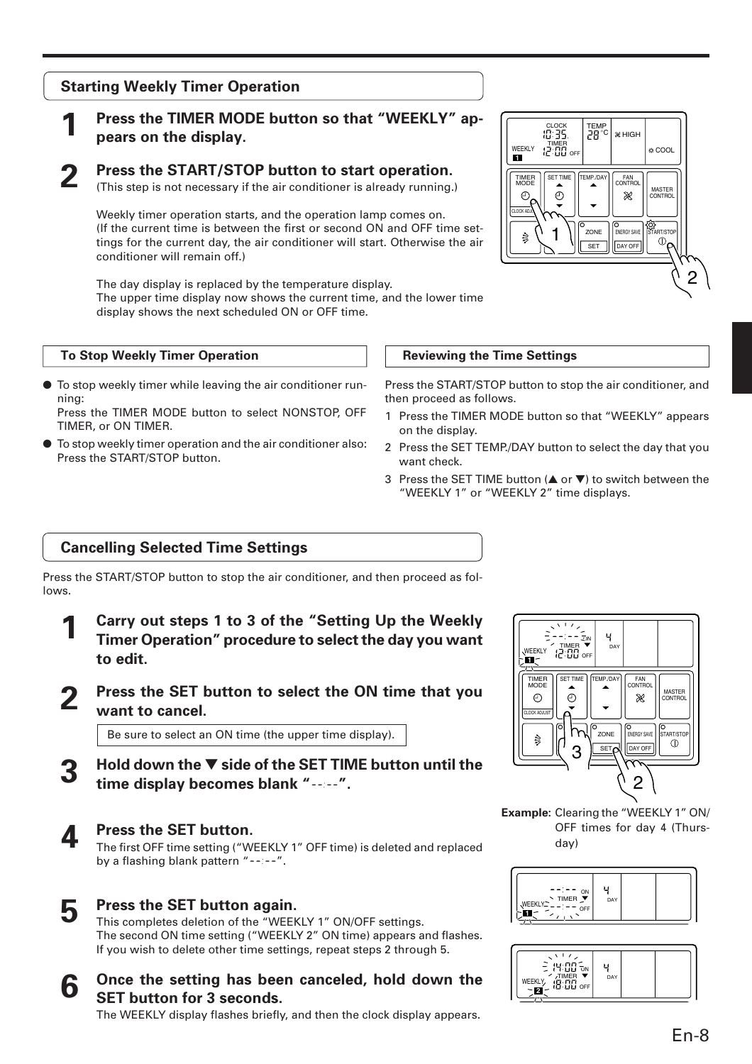# **Starting Weekly Timer Operation**

# **1 Press the TIMER MODE button so that "WEEKLY" appears on the display.**

**2 Press the START/STOP button to start operation.**<br>(This step is not necessary if the air conditioner is already running.)

Weekly timer operation starts, and the operation lamp comes on. (If the current time is between the first or second ON and OFF time settings for the current day, the air conditioner will start. Otherwise the air conditioner will remain off.)

The day display is replaced by the temperature display. The upper time display now shows the current time, and the lower time display shows the next scheduled ON or OFF time.

#### **To Stop Weekly Timer Operation**

● To stop weekly timer while leaving the air conditioner running:

Press the TIMER MODE button to select NONSTOP, OFF TIMER, or ON TIMER.

To stop weekly timer operation and the air conditioner also: Press the START/STOP button.



#### **Reviewing the Time Settings**

Press the START/STOP button to stop the air conditioner, and then proceed as follows.

- 1 Press the TIMER MODE button so that "WEEKLY" appears on the display.
- 2 Press the SET TEMP./DAY button to select the day that you want check.
- 3 Press the SET TIME button (▲ or ▼) to switch between the "WEEKLY 1" or "WEEKLY 2" time displays.

# **Cancelling Selected Time Settings**

Press the START/STOP button to stop the air conditioner, and then proceed as follows.

- **1 Carry out steps 1 to 3 of the "Setting Up the Weekly Timer Operation" procedure to select the day you want to edit.**
- **2 Press the SET button to select the ON time that you want to cancel.**

Be sure to select an ON time (the upper time display).

- **3 Hold down the** ▼ **side of the SET TIME button until the time display becomes blank " ".**
- 

**4 Press the SET button.**<br>The first OFF time setting ("WEEKLY 1" OFF time) is deleted and replaced by a flashing blank pattern " $--"$ .



This completes deletion of the "WEEKLY 1" ON/OFF settings. The second ON time setting ("WEEKLY 2" ON time) appears and flashes. If you wish to delete other time settings, repeat steps 2 through 5.

**6** Once the setting has been canceled, hold down the **SET button for 3 seconds.**

The WEEKLY display flashes briefly, and then the clock display appears.



**Example:** Clearing the "WEEKLY 1" ON/ OFF times for day 4 (Thursday)



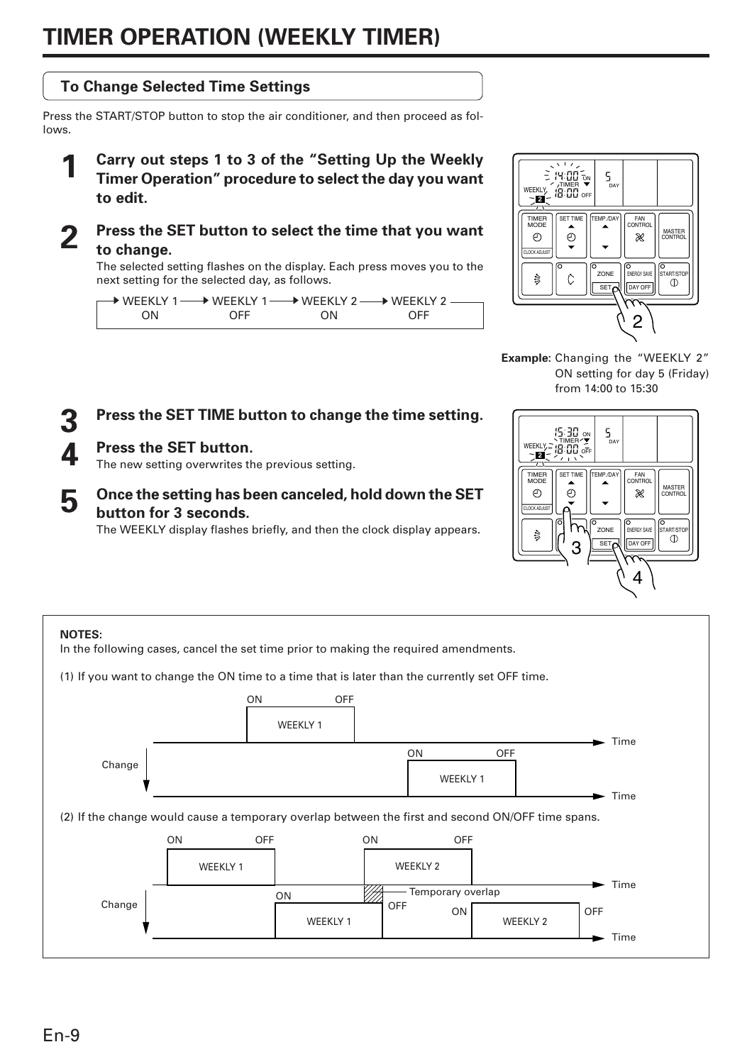# **TIMER OPERATION (WEEKLY TIMER)**



**Example:** Changing the "WEEKLY 2" ON setting for day 5 (Friday) from 14:00 to 15:30



# **3 Press the SET TIME button to change the time setting.**

# **4 Press the SET button.**

lows.

The new setting overwrites the previous setting.

# **5 Once the setting has been canceled, hold down the SET button for 3 seconds.**

The WEEKLY display flashes briefly, and then the clock display appears.

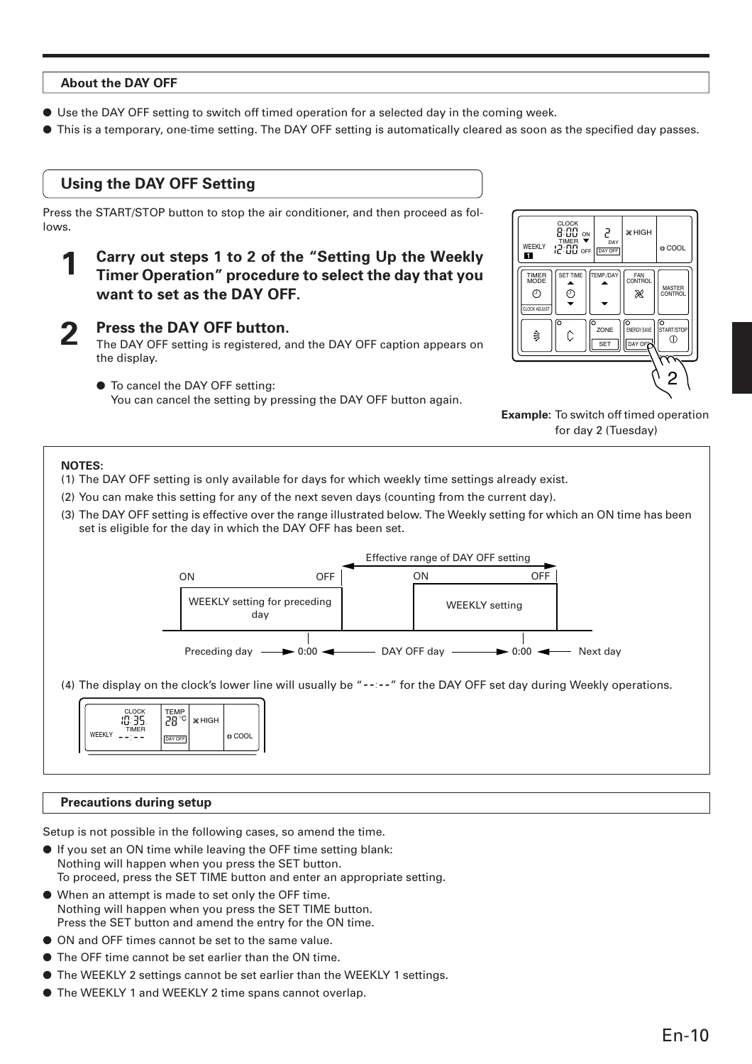#### **About the DAY OFF**

the display.

- Use the DAY OFF setting to switch off timed operation for a selected day in the coming week.
- This is a temporary, one-time setting. The DAY OFF setting is automatically cleared as soon as the specified day passes.

# **Using the DAY OFF Setting**

Press the START/STOP button to stop the air conditioner, and then proceed as follows.

**1 Carry out steps 1 to 2 of the "Setting Up the Weekly Timer Operation" procedure to select the day that you want to set as the DAY OFF.**

 $\odot$  $\odot$ CLOCK ADJUST **2 Press the DAY OFF button.**<br>The DAY OFF setting is registered, and the DAY OFF caption appears on 怠  $\ddot{\circ}$ **SET** 

● To cancel the DAY OFF setting: You can cancel the setting by pressing the DAY OFF button again.



**Example:** To switch off timed operation for day 2 (Tuesday)

#### **NOTES:**

(1) The DAY OFF setting is only available for days for which weekly time settings already exist.

- (2) You can make this setting for any of the next seven days (counting from the current day).
- (3) The DAY OFF setting is effective over the range illustrated below. The Weekly setting for which an ON time has been set is eligible for the day in which the DAY OFF has been set.



### **Precautions during setup**

Setup is not possible in the following cases, so amend the time.

- If you set an ON time while leaving the OFF time setting blank: Nothing will happen when you press the SET button. To proceed, press the SET TIME button and enter an appropriate setting.
- When an attempt is made to set only the OFF time. Nothing will happen when you press the SET TIME button. Press the SET button and amend the entry for the ON time.
- ON and OFF times cannot be set to the same value.
- The OFF time cannot be set earlier than the ON time.
- The WEEKLY 2 settings cannot be set earlier than the WEEKLY 1 settings.
- The WEEKLY 1 and WEEKLY 2 time spans cannot overlap.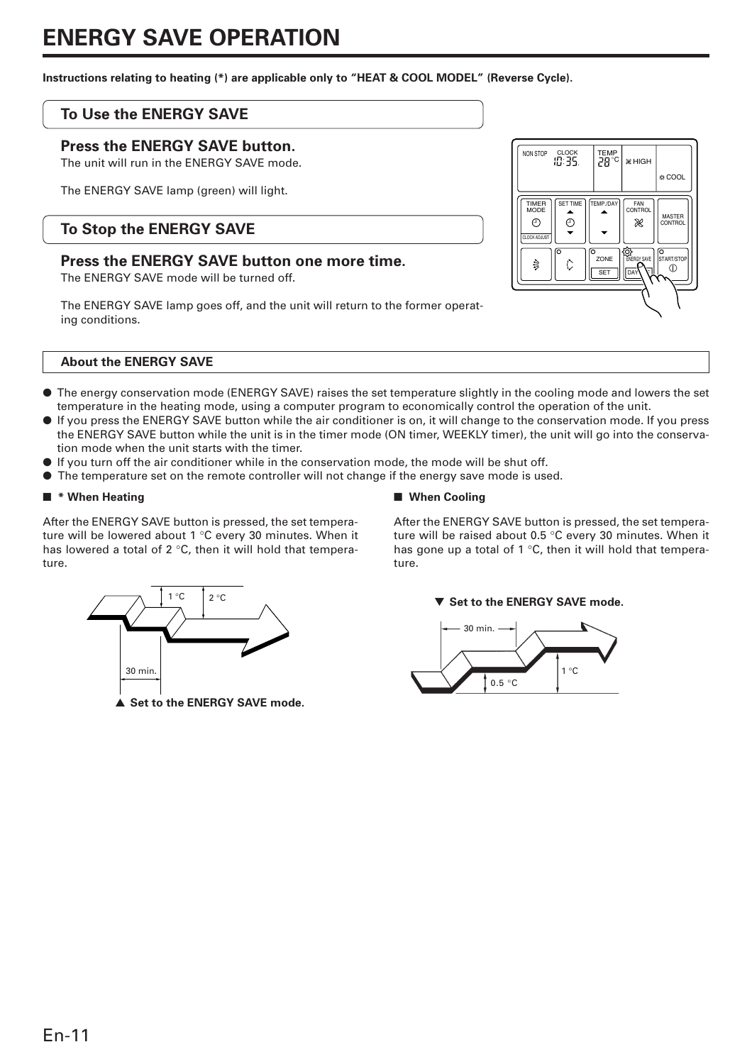# **ENERGY SAVE OPERATION**

**Instructions relating to heating (\*) are applicable only to "HEAT & COOL MODEL" (Reverse Cycle).**

## **To Use the ENERGY SAVE**

### **Press the ENERGY SAVE button.**

The unit will run in the ENERGY SAVE mode.

The ENERGY SAVE lamp (green) will light.

# **To Stop the ENERGY SAVE**

## **Press the ENERGY SAVE button one more time.**

The ENERGY SAVE mode will be turned off.

The ENERGY SAVE lamp goes off, and the unit will return to the former operating conditions.



#### **About the ENERGY SAVE**

- The energy conservation mode (ENERGY SAVE) raises the set temperature slightly in the cooling mode and lowers the set temperature in the heating mode, using a computer program to economically control the operation of the unit.
- If you press the ENERGY SAVE button while the air conditioner is on, it will change to the conservation mode. If you press the ENERGY SAVE button while the unit is in the timer mode (ON timer, WEEKLY timer), the unit will go into the conservation mode when the unit starts with the timer.
- If you turn off the air conditioner while in the conservation mode, the mode will be shut off.
- The temperature set on the remote controller will not change if the energy save mode is used.

#### ■ **\* When Heating**

After the ENERGY SAVE button is pressed, the set temperature will be lowered about 1 °C every 30 minutes. When it has lowered a total of 2 °C, then it will hold that temperature.



After the ENERGY SAVE button is pressed, the set temperature will be raised about 0.5 °C every 30 minutes. When it has gone up a total of 1 °C, then it will hold that temperature.







▲ Set to the **ENERGY SAVE** mode.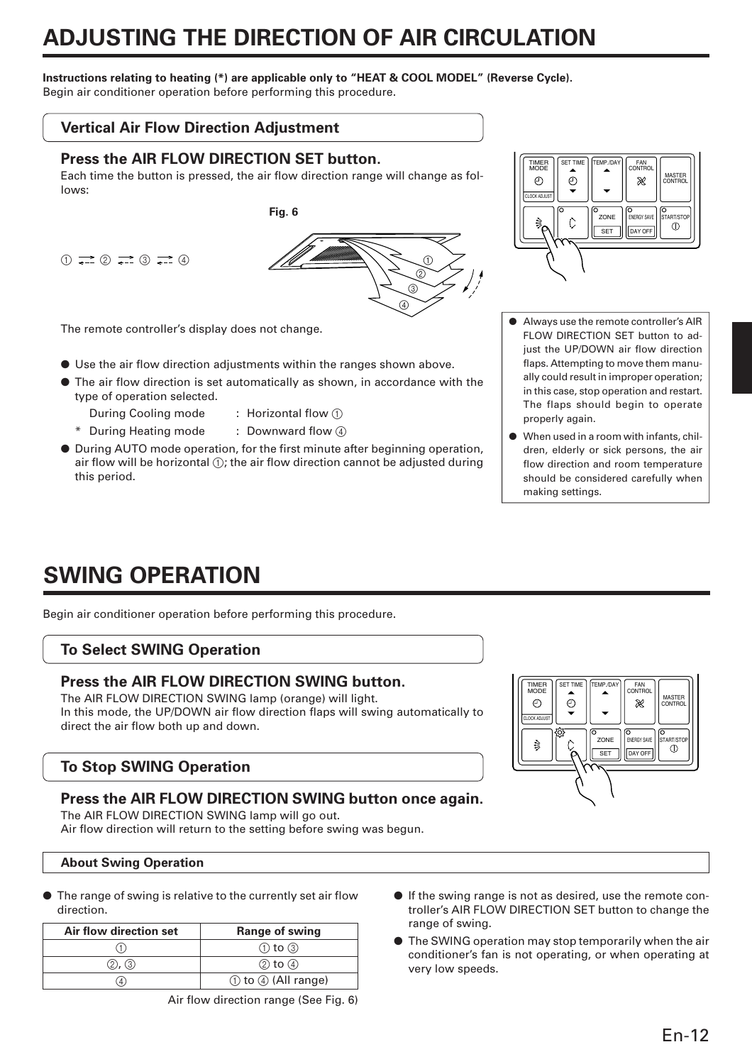# **ADJUSTING THE DIRECTION OF AIR CIRCULATION**

### **Instructions relating to heating (\*) are applicable only to "HEAT & COOL MODEL" (Reverse Cycle).**

Begin air conditioner operation before performing this procedure.

## **Vertical Air Flow Direction Adjustment**

### **Press the AIR FLOW DIRECTION SET button.**

Each time the button is pressed, the air flow direction range will change as follows:

```
(1) \longrightarrow (2) \longrightarrow (3) \longrightarrow (4)
```


The remote controller's display does not change.

- Use the air flow direction adjustments within the ranges shown above.
- The air flow direction is set automatically as shown, in accordance with the type of operation selected.
	- During Cooling mode : Horizontal flow 1
		-
	- \* During Heating mode : Downward flow 4
- During AUTO mode operation, for the first minute after beginning operation, air flow will be horizontal  $\odot$ ; the air flow direction cannot be adjusted during this period.



- Always use the remote controller's AIR FLOW DIRECTION SET button to adjust the UP/DOWN air flow direction flaps. Attempting to move them manually could result in improper operation; in this case, stop operation and restart. The flaps should begin to operate properly again.
- When used in a room with infants, children, elderly or sick persons, the air flow direction and room temperature should be considered carefully when making settings.

# **SWING OPERATION**

Begin air conditioner operation before performing this procedure.

# **To Select SWING Operation**

# **Press the AIR FLOW DIRECTION SWING button.**

The AIR FLOW DIRECTION SWING lamp (orange) will light. In this mode, the UP/DOWN air flow direction flaps will swing automatically to direct the air flow both up and down.

# **To Stop SWING Operation**

# **Press the AIR FLOW DIRECTION SWING button once again.**

The AIR FLOW DIRECTION SWING lamp will go out. Air flow direction will return to the setting before swing was begun.

### **About Swing Operation**

● The range of swing is relative to the currently set air flow direction.

| Air flow direction set | <b>Range of swing</b> |
|------------------------|-----------------------|
|                        | $(1)$ to $(3)$        |
| $(2)$ , $(3)$          | $(2)$ to $(4)$        |
| 4                      | ① to 4 (All range)    |

- If the swing range is not as desired, use the remote controller's AIR FLOW DIRECTION SET button to change the range of swing.
- The SWING operation may stop temporarily when the air conditioner's fan is not operating, or when operating at very low speeds.

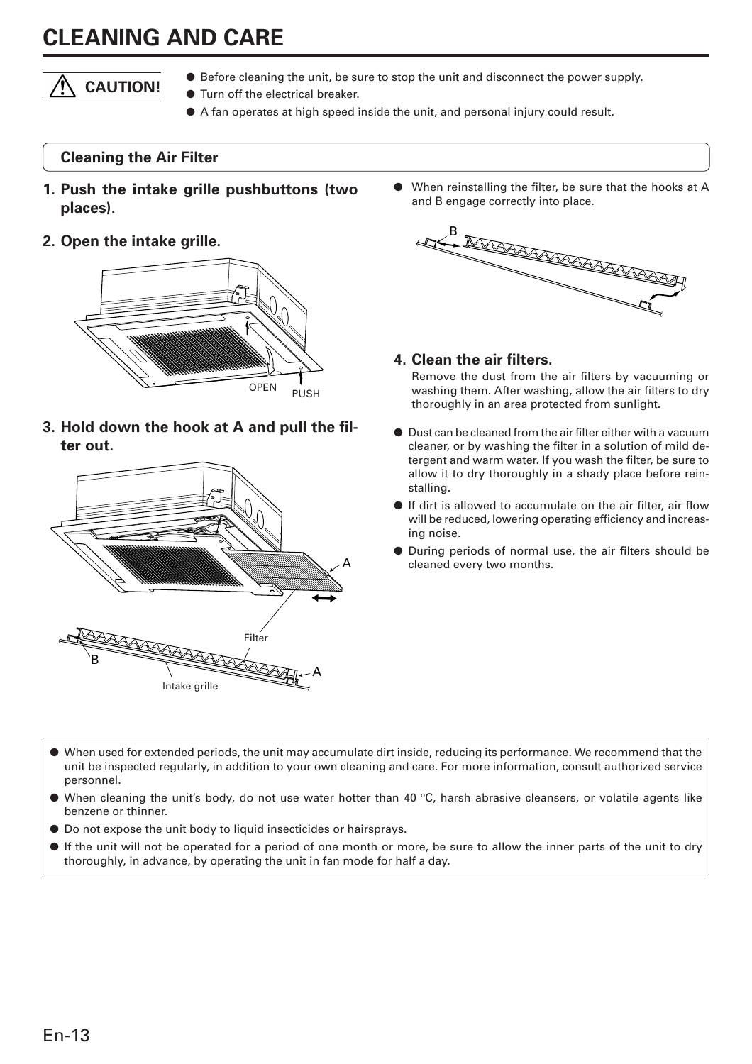# **CLEANING AND CARE**



- Before cleaning the unit, be sure to stop the unit and disconnect the power supply.
- Turn off the electrical breaker.
- A fan operates at high speed inside the unit, and personal injury could result.

## **Cleaning the Air Filter**

- **1. Push the intake grille pushbuttons (two places).**
- **2. Open the intake grille.**



**3. Hold down the hook at A and pull the filter out.**



When reinstalling the filter, be sure that the hooks at A and B engage correctly into place.



### **4. Clean the air filters.**

Remove the dust from the air filters by vacuuming or washing them. After washing, allow the air filters to dry thoroughly in an area protected from sunlight.

- Dust can be cleaned from the air filter either with a vacuum cleaner, or by washing the filter in a solution of mild detergent and warm water. If you wash the filter, be sure to allow it to dry thoroughly in a shady place before reinstalling.
- If dirt is allowed to accumulate on the air filter, air flow will be reduced, lowering operating efficiency and increasing noise.
- During periods of normal use, the air filters should be cleaned every two months.

- When used for extended periods, the unit may accumulate dirt inside, reducing its performance. We recommend that the unit be inspected regularly, in addition to your own cleaning and care. For more information, consult authorized service personnel.
- $\bullet$  When cleaning the unit's body, do not use water hotter than 40 °C, harsh abrasive cleansers, or volatile agents like benzene or thinner.
- Do not expose the unit body to liquid insecticides or hairsprays.
- If the unit will not be operated for a period of one month or more, be sure to allow the inner parts of the unit to dry thoroughly, in advance, by operating the unit in fan mode for half a day.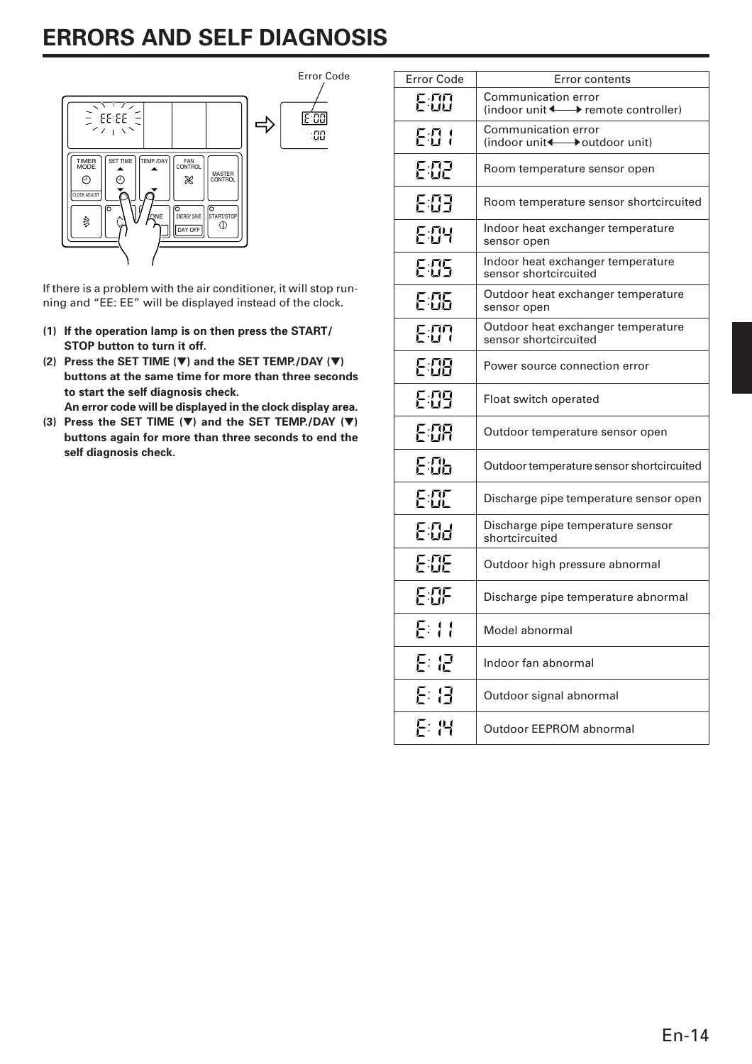# **ERRORS AND SELF DIAGNOSIS**



If there is a problem with the air conditioner, it will stop running and "EE: EE" will be displayed instead of the clock.

- **(1) If the operation lamp is on then press the START/ STOP button to turn it off.**
- **(2) Press the SET TIME (**▼**) and the SET TEMP./DAY (**▼**) buttons at the same time for more than three seconds to start the self diagnosis check.**

**An error code will be displayed in the clock display area.**

**(3) Press the SET TIME (**▼**) and the SET TEMP./DAY (**▼**) buttons again for more than three seconds to end the self diagnosis check.**

| <b>Error Code</b> | Error contents                                                                      |
|-------------------|-------------------------------------------------------------------------------------|
| E:00              | <b>Communication error</b><br>(indoor unit $\longleftrightarrow$ remote controller) |
| E:0 1             | Communication error<br>(indoor unit + boutdoor unit)                                |
| EHP               | Room temperature sensor open                                                        |
| 203               | Room temperature sensor shortcircuited                                              |
| EIH               | Indoor heat exchanger temperature<br>sensor open                                    |
| E:05              | Indoor heat exchanger temperature<br>sensor shortcircuited                          |
| 295               | Outdoor heat exchanger temperature<br>sensor open                                   |
| E:O7              | Outdoor heat exchanger temperature<br>sensor shortcircuited                         |
| FIH               | Power source connection error                                                       |
| 5:09              | Float switch operated                                                               |
| E:OR              | Outdoor temperature sensor open                                                     |
| E:05              | Outdoor temperature sensor shortcircuited                                           |
| EII               | Discharge pipe temperature sensor open                                              |
| E:03              | Discharge pipe temperature sensor<br>shortcircuited                                 |
| EÆ                | Outdoor high pressure abnormal                                                      |
| 白蛋                | Discharge pipe temperature abnormal                                                 |
| E: 11             | Model abnormal                                                                      |
| 2:12              | Indoor fan abnormal                                                                 |
| E: E              | Outdoor signal abnormal                                                             |
| 돈 14              | Outdoor EEPROM abnormal                                                             |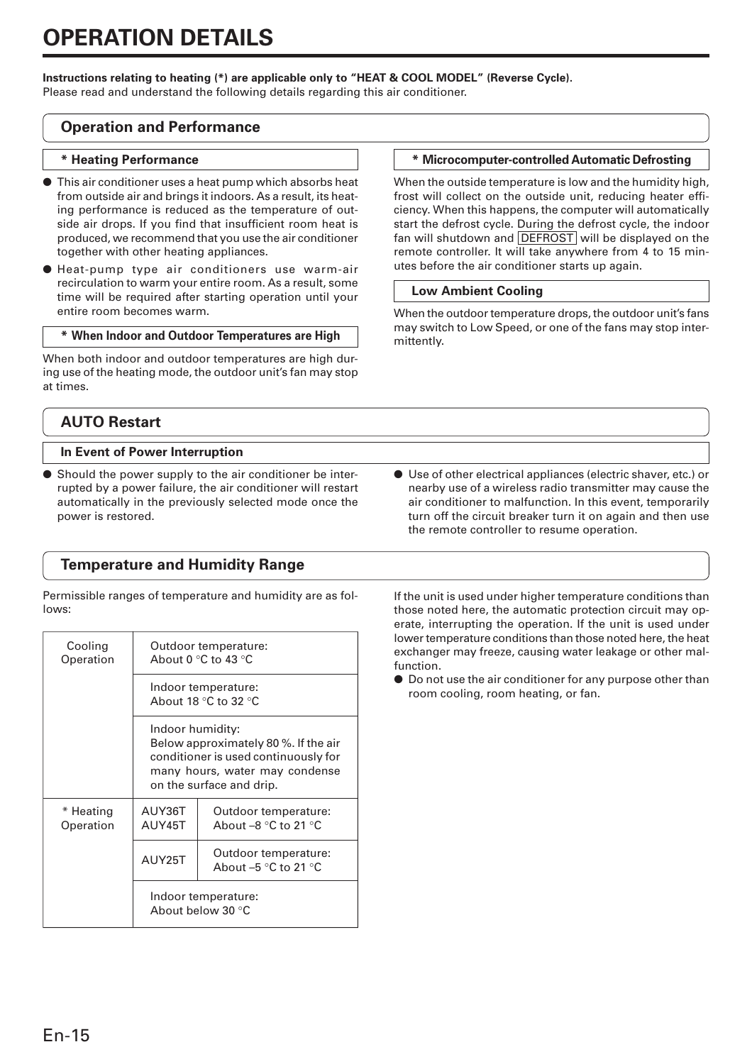#### **Instructions relating to heating (\*) are applicable only to "HEAT & COOL MODEL" (Reverse Cycle).**

Please read and understand the following details regarding this air conditioner.

### **Operation and Performance**

#### **\* Heating Performance**

- This air conditioner uses a heat pump which absorbs heat from outside air and brings it indoors. As a result, its heating performance is reduced as the temperature of outside air drops. If you find that insufficient room heat is produced, we recommend that you use the air conditioner together with other heating appliances.
- Heat-pump type air conditioners use warm-air recirculation to warm your entire room. As a result, some time will be required after starting operation until your entire room becomes warm.

#### **\* When Indoor and Outdoor Temperatures are High**

When both indoor and outdoor temperatures are high during use of the heating mode, the outdoor unit's fan may stop at times.

# **AUTO Restart**

#### **In Event of Power Interruption**

Should the power supply to the air conditioner be interrupted by a power failure, the air conditioner will restart automatically in the previously selected mode once the power is restored.

# **Temperature and Humidity Range**

Permissible ranges of temperature and humidity are as follows:

| Cooling<br>Operation   | Outdoor temperature:<br>About 0 °C to 43 °C                                                                                                                    |                                                |  |  |  |
|------------------------|----------------------------------------------------------------------------------------------------------------------------------------------------------------|------------------------------------------------|--|--|--|
|                        | Indoor temperature:<br>About 18 $\degree$ C to 32 $\degree$ C                                                                                                  |                                                |  |  |  |
|                        | Indoor humidity:<br>Below approximately 80 %. If the air<br>conditioner is used continuously for<br>many hours, water may condense<br>on the surface and drip. |                                                |  |  |  |
| * Heating<br>Operation | AUY36T<br>AUY45T                                                                                                                                               | Outdoor temperature:<br>About $-8$ °C to 21 °C |  |  |  |
|                        | AUY25T                                                                                                                                                         | Outdoor temperature:<br>About $-5$ °C to 21 °C |  |  |  |
|                        | Indoor temperature:<br>About below 30 °C                                                                                                                       |                                                |  |  |  |

#### **\* Microcomputer-controlled Automatic Defrosting**

When the outside temperature is low and the humidity high, frost will collect on the outside unit, reducing heater efficiency. When this happens, the computer will automatically start the defrost cycle. During the defrost cycle, the indoor fan will shutdown and DEFROST will be displayed on the remote controller. It will take anywhere from 4 to 15 minutes before the air conditioner starts up again.

#### **Low Ambient Cooling**

When the outdoor temperature drops, the outdoor unit's fans may switch to Low Speed, or one of the fans may stop intermittently.

● Use of other electrical appliances (electric shaver, etc.) or nearby use of a wireless radio transmitter may cause the air conditioner to malfunction. In this event, temporarily turn off the circuit breaker turn it on again and then use the remote controller to resume operation.

If the unit is used under higher temperature conditions than those noted here, the automatic protection circuit may operate, interrupting the operation. If the unit is used under lower temperature conditions than those noted here, the heat exchanger may freeze, causing water leakage or other malfunction.

● Do not use the air conditioner for any purpose other than room cooling, room heating, or fan.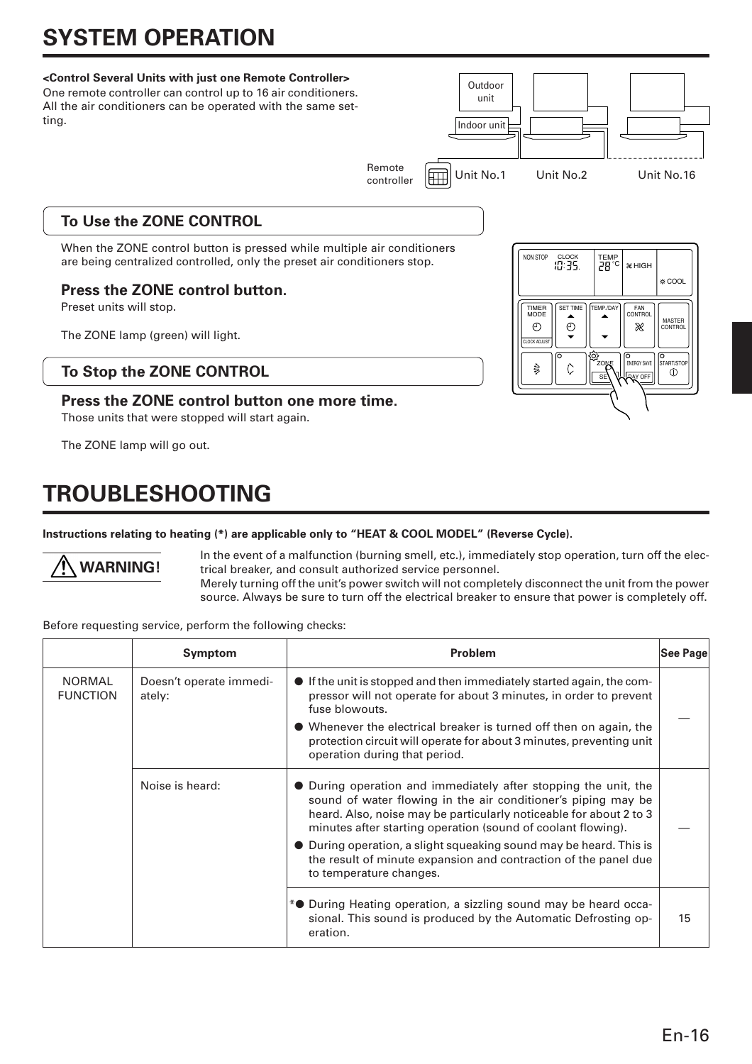# **SYSTEM OPERATION**

#### **<Control Several Units with just one Remote Controller>**

One remote controller can control up to 16 air conditioners. All the air conditioners can be operated with the same setting. Remote **Figure 1** Unit No.1 Unit No.2 Unit No.16 controller **Outdoor** unit Indoor unit

# **To Use the ZONE CONTROL**

When the ZONE control button is pressed while multiple air conditioners are being centralized controlled, only the preset air conditioners stop.

# **Press the ZONE control button.**

Preset units will stop.

The ZONE lamp (green) will light.

## **To Stop the ZONE CONTROL**

### **Press the ZONE control button one more time.**

Those units that were stopped will start again.

The ZONE lamp will go out.

**WARNING!**

# **TROUBLESHOOTING**

### **Instructions relating to heating (\*) are applicable only to "HEAT & COOL MODEL" (Reverse Cycle).**

In the event of a malfunction (burning smell, etc.), immediately stop operation, turn off the electrical breaker, and consult authorized service personnel.

Merely turning off the unit's power switch will not completely disconnect the unit from the power source. Always be sure to turn off the electrical breaker to ensure that power is completely off.

|  | Before requesting service, perform the following checks: |  |  |  |  |  |
|--|----------------------------------------------------------|--|--|--|--|--|
|--|----------------------------------------------------------|--|--|--|--|--|

|                                  | Symptom                           | <b>Problem</b>                                                                                                                                                                                                                                                                                                                                                                                                                             | ∣See Page∣ |
|----------------------------------|-----------------------------------|--------------------------------------------------------------------------------------------------------------------------------------------------------------------------------------------------------------------------------------------------------------------------------------------------------------------------------------------------------------------------------------------------------------------------------------------|------------|
| <b>NORMAL</b><br><b>FUNCTION</b> | Doesn't operate immedi-<br>ately: | • If the unit is stopped and then immediately started again, the com-<br>pressor will not operate for about 3 minutes, in order to prevent<br>fuse blowouts.<br>• Whenever the electrical breaker is turned off then on again, the<br>protection circuit will operate for about 3 minutes, preventing unit<br>operation during that period.                                                                                                |            |
|                                  | Noise is heard:                   | • During operation and immediately after stopping the unit, the<br>sound of water flowing in the air conditioner's piping may be<br>heard. Also, noise may be particularly noticeable for about 2 to 3<br>minutes after starting operation (sound of coolant flowing).<br>• During operation, a slight squeaking sound may be heard. This is<br>the result of minute expansion and contraction of the panel due<br>to temperature changes. |            |
|                                  |                                   | *• During Heating operation, a sizzling sound may be heard occa-<br>sional. This sound is produced by the Automatic Defrosting op-<br>eration.                                                                                                                                                                                                                                                                                             | 15         |

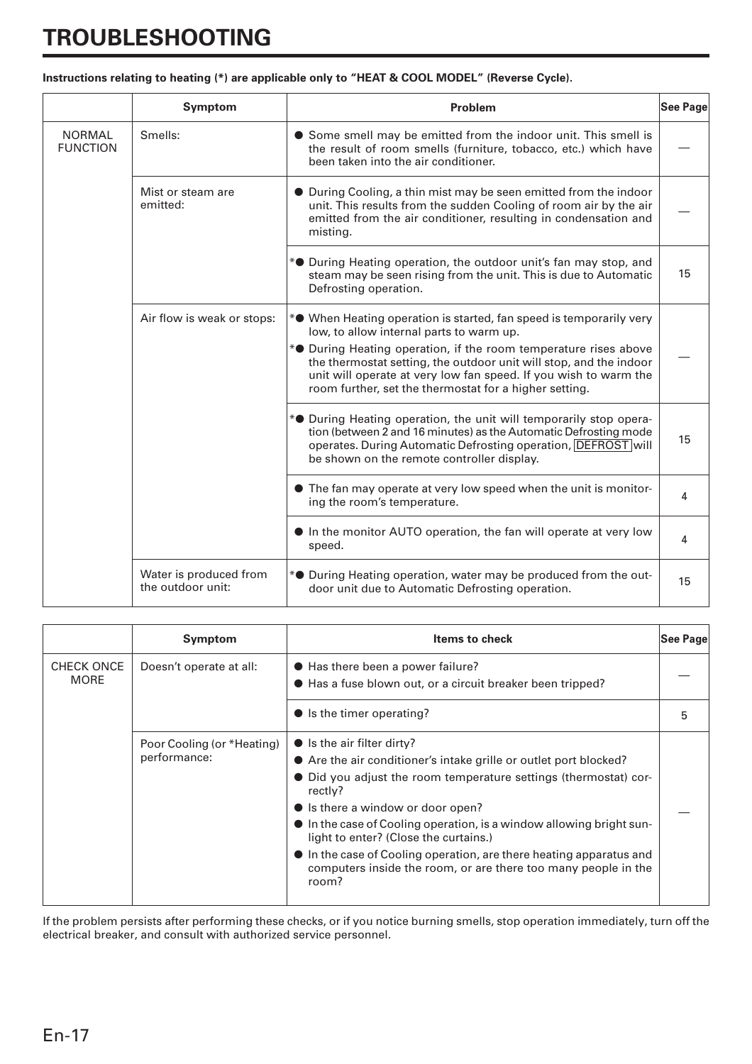# **TROUBLESHOOTING**

|  |  | Instructions relating to heating (*) are applicable only to "HEAT & COOL MODEL" (Reverse Cycle). |
|--|--|--------------------------------------------------------------------------------------------------|
|  |  |                                                                                                  |

|                                  | Symptom                                     | Problem                                                                                                                                                                                                                                                                                                                                                                                                         | See Page |
|----------------------------------|---------------------------------------------|-----------------------------------------------------------------------------------------------------------------------------------------------------------------------------------------------------------------------------------------------------------------------------------------------------------------------------------------------------------------------------------------------------------------|----------|
| <b>NORMAL</b><br><b>FUNCTION</b> | Smells:                                     | • Some smell may be emitted from the indoor unit. This smell is<br>the result of room smells (furniture, tobacco, etc.) which have<br>been taken into the air conditioner.                                                                                                                                                                                                                                      |          |
|                                  | Mist or steam are<br>emitted:               | • During Cooling, a thin mist may be seen emitted from the indoor<br>unit. This results from the sudden Cooling of room air by the air<br>emitted from the air conditioner, resulting in condensation and<br>misting.                                                                                                                                                                                           |          |
|                                  |                                             | * <sup>•</sup> During Heating operation, the outdoor unit's fan may stop, and<br>steam may be seen rising from the unit. This is due to Automatic<br>Defrosting operation.                                                                                                                                                                                                                                      | 15       |
|                                  | Air flow is weak or stops:                  | * <sup>•</sup> When Heating operation is started, fan speed is temporarily very<br>low, to allow internal parts to warm up.<br>* <sup>•</sup> During Heating operation, if the room temperature rises above<br>the thermostat setting, the outdoor unit will stop, and the indoor<br>unit will operate at very low fan speed. If you wish to warm the<br>room further, set the thermostat for a higher setting. |          |
|                                  |                                             | * <sup>•</sup> During Heating operation, the unit will temporarily stop opera-<br>tion (between 2 and 16 minutes) as the Automatic Defrosting mode<br>operates. During Automatic Defrosting operation, DEFROST will<br>be shown on the remote controller display.                                                                                                                                               | 15       |
|                                  |                                             | • The fan may operate at very low speed when the unit is monitor-<br>ing the room's temperature.                                                                                                                                                                                                                                                                                                                | 4        |
|                                  |                                             | In the monitor AUTO operation, the fan will operate at very low<br>speed.                                                                                                                                                                                                                                                                                                                                       | 4        |
|                                  | Water is produced from<br>the outdoor unit: | * <sup>•</sup> During Heating operation, water may be produced from the out-<br>door unit due to Automatic Defrosting operation.                                                                                                                                                                                                                                                                                | 15       |

|                                                             | Symptom                                    | <b>Items to check</b>                                                                                                                                                                                                                                                                                                                                                                                                                                                                                          | See Page |  |  |
|-------------------------------------------------------------|--------------------------------------------|----------------------------------------------------------------------------------------------------------------------------------------------------------------------------------------------------------------------------------------------------------------------------------------------------------------------------------------------------------------------------------------------------------------------------------------------------------------------------------------------------------------|----------|--|--|
| <b>CHECK ONCE</b><br>Doesn't operate at all:<br><b>MORE</b> |                                            | ● Has there been a power failure?<br>● Has a fuse blown out, or a circuit breaker been tripped?                                                                                                                                                                                                                                                                                                                                                                                                                |          |  |  |
|                                                             |                                            | $\bullet$ is the timer operating?                                                                                                                                                                                                                                                                                                                                                                                                                                                                              | 5        |  |  |
|                                                             | Poor Cooling (or *Heating)<br>performance: | $\bullet$ is the air filter dirty?<br>• Are the air conditioner's intake grille or outlet port blocked?<br>• Did you adjust the room temperature settings (thermostat) cor-<br>rectly?<br>• Is there a window or door open?<br>$\bullet$ In the case of Cooling operation, is a window allowing bright sun-<br>light to enter? (Close the curtains.)<br>$\bullet$ In the case of Cooling operation, are there heating apparatus and<br>computers inside the room, or are there too many people in the<br>room? |          |  |  |

If the problem persists after performing these checks, or if you notice burning smells, stop operation immediately, turn off the electrical breaker, and consult with authorized service personnel.